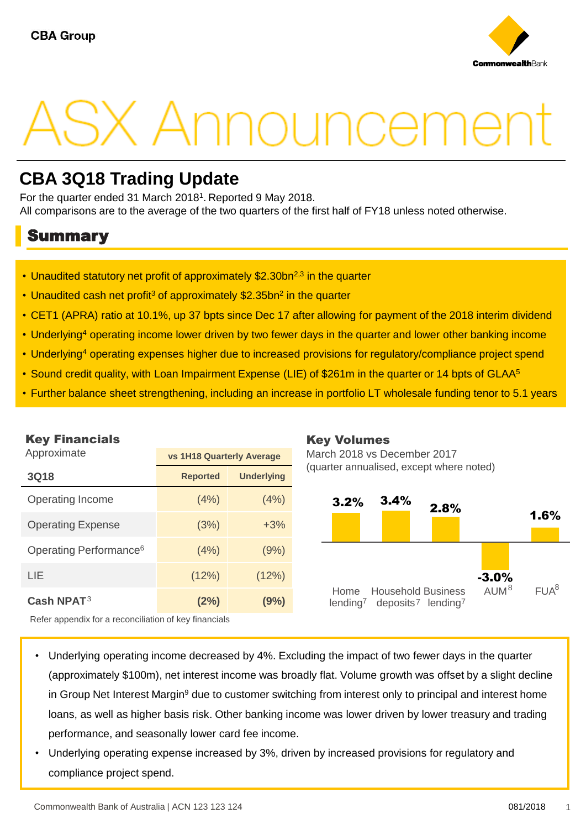

# . Announceme

# **CBA 3Q18 Trading Update**

For the quarter ended 31 March 2018<sup>1</sup>. Reported 9 May 2018. All comparisons are to the average of the two quarters of the first half of FY18 unless noted otherwise.

## Summary

- Unaudited statutory net profit of approximately \$2.30bn<sup>2,3</sup> in the quarter
- Unaudited cash net profit<sup>3</sup> of approximately \$2.35bn<sup>2</sup> in the quarter
- CET1 (APRA) ratio at 10.1%, up 37 bpts since Dec 17 after allowing for payment of the 2018 interim dividend
- Underlying<sup>4</sup> operating income lower driven by two fewer days in the quarter and lower other banking income
- Underlying<sup>4</sup> operating expenses higher due to increased provisions for regulatory/compliance project spend
- Sound credit quality, with Loan Impairment Expense (LIE) of \$261m in the quarter or 14 bpts of GLAA<sup>5</sup>
- Further balance sheet strengthening, including an increase in portfolio LT wholesale funding tenor to 5.1 years

| <b>Key Financials</b>              |                                  |                   | <b>Key Volu</b> |
|------------------------------------|----------------------------------|-------------------|-----------------|
| Approximate                        | <b>vs 1H18 Quarterly Average</b> | March 2018        |                 |
| 3Q18                               | <b>Reported</b>                  | <b>Underlying</b> | (quarter ann    |
| Operating Income                   | (4%)                             | (4%)              | 3.2%            |
| <b>Operating Expense</b>           | (3%)                             | $+3%$             |                 |
| Operating Performance <sup>6</sup> | (4%)                             | (9%)              |                 |
| LIE                                | (12%)                            | (12%)             |                 |
| Cash NPAT <sup>3</sup>             | (2%)                             | (9%)              | Home<br>lending |

## Key Volumes

**B** vs December 2017 ualised, except where noted)



Refer appendix for a reconciliation of key financials

- Underlying operating income decreased by 4%. Excluding the impact of two fewer days in the quarter (approximately \$100m), net interest income was broadly flat. Volume growth was offset by a slight decline in Group Net Interest Margin<sup>9</sup> due to customer switching from interest only to principal and interest home loans, as well as higher basis risk. Other banking income was lower driven by lower treasury and trading performance, and seasonally lower card fee income.
- Underlying operating expense increased by 3%, driven by increased provisions for regulatory and compliance project spend.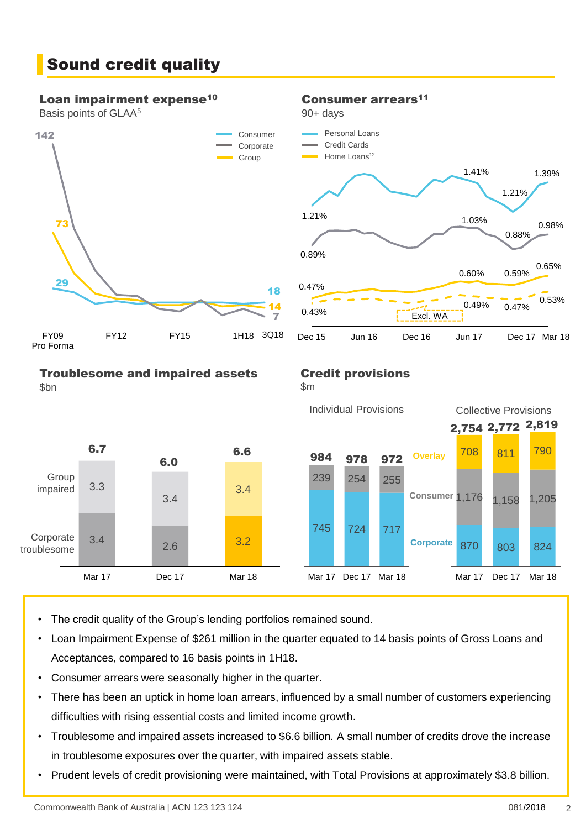# Sound credit quality

#### Loan impairment expense<sup>10</sup>

Basis points of GLAA<sup>5</sup>



#### Consumer arrears<sup>11</sup>

90+ days





#### Troublesome and impaired assets \$bn

### Credit provisions

Dec 15 Jun 16 Dec 16 Jun 17

\$m



- The credit quality of the Group's lending portfolios remained sound.
- Loan Impairment Expense of \$261 million in the quarter equated to 14 basis points of Gross Loans and Acceptances, compared to 16 basis points in 1H18.
- Consumer arrears were seasonally higher in the quarter.
- There has been an uptick in home loan arrears, influenced by a small number of customers experiencing difficulties with rising essential costs and limited income growth.
- Troublesome and impaired assets increased to \$6.6 billion. A small number of credits drove the increase in troublesome exposures over the quarter, with impaired assets stable.
- Prudent levels of credit provisioning were maintained, with Total Provisions at approximately \$3.8 billion.

Dec 17 Mar 18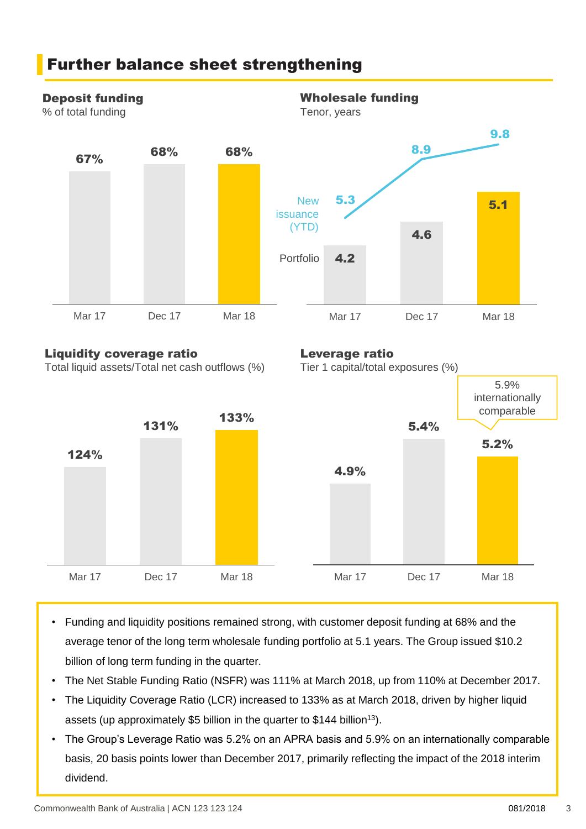

Total liquid assets/Total net cash outflows (%)

Further balance sheet strengthening





- Funding and liquidity positions remained strong, with customer deposit funding at 68% and the average tenor of the long term wholesale funding portfolio at 5.1 years. The Group issued \$10.2 billion of long term funding in the quarter.
- The Net Stable Funding Ratio (NSFR) was 111% at March 2018, up from 110% at December 2017.
- The Liquidity Coverage Ratio (LCR) increased to 133% as at March 2018, driven by higher liquid assets (up approximately \$5 billion in the quarter to \$144 billion<sup>13</sup>).
- The Group's Leverage Ratio was 5.2% on an APRA basis and 5.9% on an internationally comparable basis, 20 basis points lower than December 2017, primarily reflecting the impact of the 2018 interim dividend.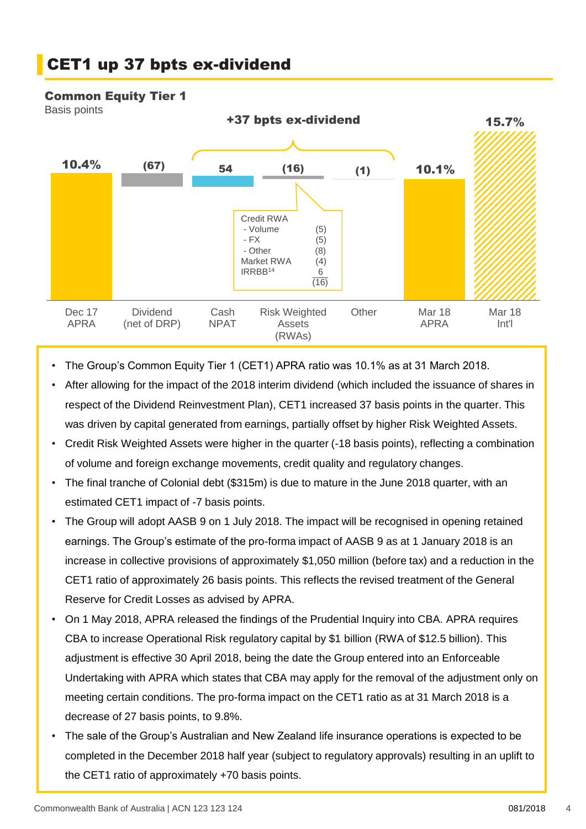# CET1 up 37 bpts ex-dividend

#### Common Equity Tier 1

Basis points



- The Group's Common Equity Tier 1 (CET1) APRA ratio was 10.1% as at 31 March 2018.
- After allowing for the impact of the 2018 interim dividend (which included the issuance of shares in respect of the Dividend Reinvestment Plan), CET1 increased 37 basis points in the quarter. This was driven by capital generated from earnings, partially offset by higher Risk Weighted Assets.
- Credit Risk Weighted Assets were higher in the quarter (-18 basis points), reflecting a combination of volume and foreign exchange movements, credit quality and regulatory changes.
- The final tranche of Colonial debt (\$315m) is due to mature in the June 2018 quarter, with an estimated CET1 impact of -7 basis points.
- The Group will adopt AASB 9 on 1 July 2018. The impact will be recognised in opening retained earnings. The Group's estimate of the pro-forma impact of AASB 9 as at 1 January 2018 is an increase in collective provisions of approximately \$1,050 million (before tax) and a reduction in the CET1 ratio of approximately 26 basis points. This reflects the revised treatment of the General Reserve for Credit Losses as advised by APRA.
- On 1 May 2018, APRA released the findings of the Prudential Inquiry into CBA. APRA requires CBA to increase Operational Risk regulatory capital by \$1 billion (RWA of \$12.5 billion). This adjustment is effective 30 April 2018, being the date the Group entered into an Enforceable Undertaking with APRA which states that CBA may apply for the removal of the adjustment only on meeting certain conditions. The pro-forma impact on the CET1 ratio as at 31 March 2018 is a decrease of 27 basis points, to 9.8%.
- The sale of the Group's Australian and New Zealand life insurance operations is expected to be completed in the December 2018 half year (subject to regulatory approvals) resulting in an uplift to the CET1 ratio of approximately +70 basis points.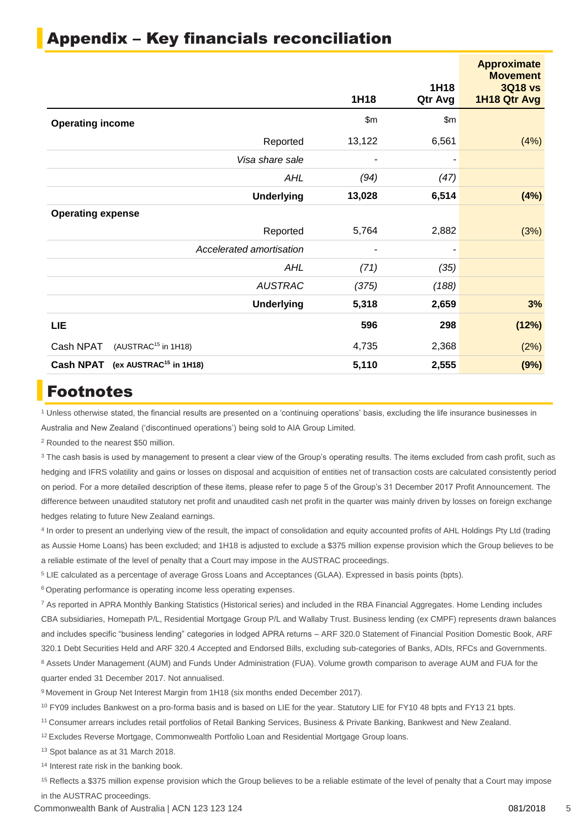|                                                        | 1H18   | 1H18<br>Qtr Avg | <b>Approximate</b><br><b>Movement</b><br><b>3Q18 vs</b><br>1H18 Qtr Avg |
|--------------------------------------------------------|--------|-----------------|-------------------------------------------------------------------------|
| <b>Operating income</b>                                | \$m\$  | \$m\$           |                                                                         |
| Reported                                               | 13,122 | 6,561           | (4%)                                                                    |
| Visa share sale                                        |        |                 |                                                                         |
| <b>AHL</b>                                             | (94)   | (47)            |                                                                         |
| <b>Underlying</b>                                      | 13,028 | 6,514           | (4%)                                                                    |
| <b>Operating expense</b>                               |        |                 |                                                                         |
| Reported                                               | 5,764  | 2,882           | (3%)                                                                    |
| Accelerated amortisation                               |        |                 |                                                                         |
| <b>AHL</b>                                             | (71)   | (35)            |                                                                         |
| <b>AUSTRAC</b>                                         | (375)  | (188)           |                                                                         |
| <b>Underlying</b>                                      | 5,318  | 2,659           | 3%                                                                      |
| LIE                                                    | 596    | 298             | (12%)                                                                   |
| (AUSTRAC <sup>15</sup> in 1H18)<br>Cash NPAT           | 4,735  | 2,368           | (2%)                                                                    |
| <b>Cash NPAT</b><br>(ex AUSTRAC <sup>15</sup> in 1H18) | 5,110  | 2,555           | (9%)                                                                    |

## Appendix – Key financials reconciliation

## Footnotes

<sup>1</sup> Unless otherwise stated, the financial results are presented on a 'continuing operations' basis, excluding the life insurance businesses in Australia and New Zealand ('discontinued operations') being sold to AIA Group Limited.

<sup>2</sup> Rounded to the nearest \$50 million.

<sup>3</sup> The cash basis is used by management to present a clear view of the Group's operating results. The items excluded from cash profit, such as hedging and IFRS volatility and gains or losses on disposal and acquisition of entities net of transaction costs are calculated consistently period on period. For a more detailed description of these items, please refer to page 5 of the Group's 31 December 2017 Profit Announcement. The difference between unaudited statutory net profit and unaudited cash net profit in the quarter was mainly driven by losses on foreign exchange hedges relating to future New Zealand earnings.

4 In order to present an underlying view of the result, the impact of consolidation and equity accounted profits of AHL Holdings Pty Ltd (trading as Aussie Home Loans) has been excluded; and 1H18 is adjusted to exclude a \$375 million expense provision which the Group believes to be a reliable estimate of the level of penalty that a Court may impose in the AUSTRAC proceedings.

<sup>5</sup> LIE calculated as a percentage of average Gross Loans and Acceptances (GLAA). Expressed in basis points (bpts).

<sup>6</sup> Operating performance is operating income less operating expenses.

<sup>7</sup> As reported in APRA Monthly Banking Statistics (Historical series) and included in the RBA Financial Aggregates. Home Lending includes CBA subsidiaries, Homepath P/L, Residential Mortgage Group P/L and Wallaby Trust. Business lending (ex CMPF) represents drawn balances and includes specific "business lending" categories in lodged APRA returns – ARF 320.0 Statement of Financial Position Domestic Book, ARF 320.1 Debt Securities Held and ARF 320.4 Accepted and Endorsed Bills, excluding sub-categories of Banks, ADIs, RFCs and Governments. 8 Assets Under Management (AUM) and Funds Under Administration (FUA). Volume growth comparison to average AUM and FUA for the quarter ended 31 December 2017. Not annualised.

<sup>9</sup> Movement in Group Net Interest Margin from 1H18 (six months ended December 2017).

<sup>10</sup> FY09 includes Bankwest on a pro-forma basis and is based on LIE for the year. Statutory LIE for FY10 48 bpts and FY13 21 bpts.

<sup>11</sup>Consumer arrears includes retail portfolios of Retail Banking Services, Business & Private Banking, Bankwest and New Zealand.

<sup>12</sup> Excludes Reverse Mortgage, Commonwealth Portfolio Loan and Residential Mortgage Group loans.

<sup>13</sup> Spot balance as at 31 March 2018.

<sup>14</sup> Interest rate risk in the banking book.

<sup>15</sup> Reflects a \$375 million expense provision which the Group believes to be a reliable estimate of the level of penalty that a Court may impose in the AUSTRAC proceedings.

Commonwealth Bank of Australia | ACN 123 123 124 081/2018 5